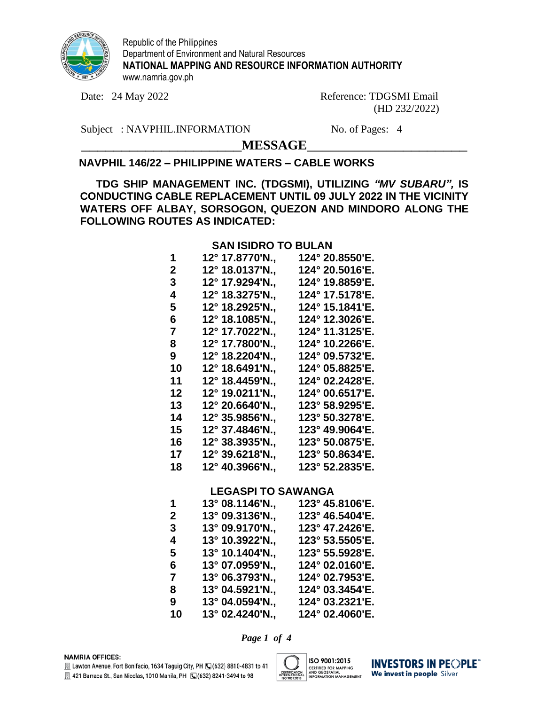

Republic of the Philippines Department of Environment and Natural Resources **NATIONAL MAPPING AND RESOURCE INFORMATION AUTHORITY** www.namria.gov.ph

Date: 24 May 2022 Reference: TDGSMI Email (HD 232/2022)

Subject : NAVPHIL.INFORMATION No. of Pages: 4

\_\_\_\_\_\_\_\_\_\_\_\_\_\_\_\_\_\_\_\_**MESSAGE**\_\_\_\_\_\_\_\_\_\_\_\_\_\_\_\_\_\_\_\_

## **NAVPHIL 146/22 – PHILIPPINE WATERS – CABLE WORKS**

**TDG SHIP MANAGEMENT INC. (TDGSMI), UTILIZING** *"MV SUBARU",* **IS CONDUCTING CABLE REPLACEMENT UNTIL 09 JULY 2022 IN THE VICINITY WATERS OFF ALBAY, SORSOGON, QUEZON AND MINDORO ALONG THE FOLLOWING ROUTES AS INDICATED:**

### **SAN ISIDRO TO BULAN**

| 1  | 12° 17.8770'N., | 124° 20.8550'E. |
|----|-----------------|-----------------|
| 2  | 12° 18.0137'N., | 124° 20.5016'E. |
| 3  | 12° 17.9294'N., | 124° 19.8859'E. |
| 4  | 12° 18.3275'N., | 124° 17.5178'E. |
| 5  | 12° 18.2925'N., | 124° 15.1841'E. |
| 6  | 12° 18.1085'N., | 124° 12.3026'E. |
| 7  | 12° 17.7022'N., | 124° 11.3125'E. |
| 8  | 12° 17.7800'N., | 124° 10.2266'E. |
| 9  | 12° 18.2204'N., | 124° 09.5732'E. |
| 10 | 12° 18.6491'N., | 124° 05.8825'E. |
| 11 | 12° 18.4459'N., | 124° 02.2428'E. |
| 12 | 12° 19.0211'N., | 124° 00.6517'E. |
| 13 | 12° 20.6640'N., | 123° 58.9295'E. |
| 14 | 12° 35.9856'N., | 123° 50.3278'E. |
| 15 | 12° 37.4846'N., | 123° 49.9064'E. |
| 16 | 12° 38.3935'N., | 123° 50.0875'E. |
| 17 | 12° 39.6218'N., | 123° 50.8634'E. |
| 18 | 12° 40.3966'N., | 123° 52.2835'E. |
|    |                 |                 |

### **LEGASPI TO SAWANGA**

| 1  | 13° 08.1146'N., | 123° 45.8106'E. |
|----|-----------------|-----------------|
| 2  | 13° 09.3136'N., | 123° 46.5404'E. |
| 3  | 13° 09.9170'N., | 123° 47.2426'E. |
| 4  | 13° 10.3922'N., | 123° 53.5505'E. |
| 5  | 13° 10.1404'N., | 123° 55.5928'E. |
| 6  | 13° 07.0959'N., | 124° 02.0160'E. |
| 7  | 13° 06.3793'N., | 124° 02.7953'E. |
| 8  | 13° 04.5921'N., | 124° 03.3454'E. |
| 9  | 13° 04.0594'N., | 124° 03.2321'E. |
| 10 | 13° 02.4240'N., | 124° 02.4060'E. |
|    |                 |                 |

*Page 1 of 4*

**NAMRIA OFFICES:** 



**INVESTORS IN PEOPLE** We invest in people Silver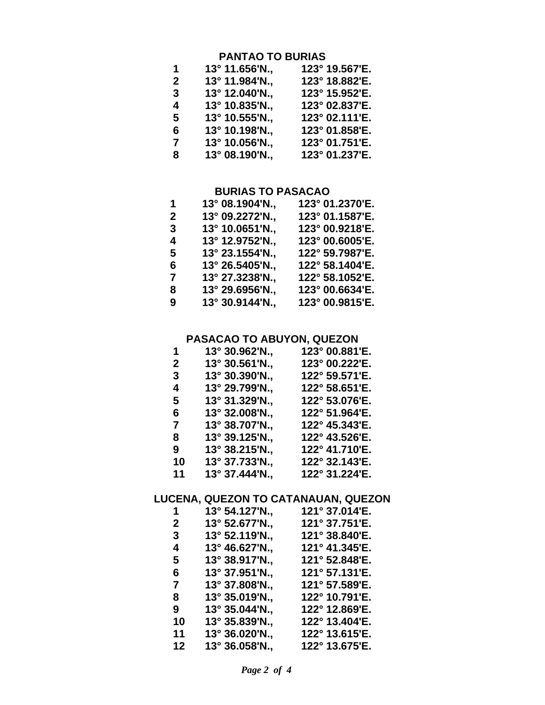## **PANTAO TO BURIAS**

| 1              | $13^{\circ}$ 11.656'N., | 123° 19.567'E. |
|----------------|-------------------------|----------------|
| $\overline{2}$ | 13° 11.984'N.,          | 123° 18.882'E. |
| 3              | 13° 12.040'N.,          | 123° 15.952'E. |
| 4              | 13° 10.835'N.,          | 123° 02.837'E. |
| 5              | 13° 10.555'N.,          | 123° 02.111'E. |
| 6              | 13° 10.198'N.,          | 123° 01.858'E. |
| 7              | 13° 10.056'N.,          | 123° 01.751'E. |
| 8              | 13° 08.190'N.,          | 123° 01.237'E. |

### **BURIAS TO PASACAO**

| 1           | 13° 08.1904'N., | 123° 01.2370'E. |
|-------------|-----------------|-----------------|
| $\mathbf 2$ | 13° 09.2272'N., | 123° 01.1587'E. |
| 3           | 13° 10.0651'N., | 123° 00.9218'E. |
| 4           | 13° 12.9752'N., | 123° 00.6005'E. |
| 5           | 13° 23.1554'N., | 122° 59.7987'E. |
| 6           | 13° 26.5405'N., | 122° 58.1404'E. |
| 7           | 13° 27.3238'N., | 122° 58.1052'E. |
| 8           | 13° 29.6956'N., | 123° 00.6634'E. |
| 9           | 13° 30.9144'N., | 123° 00.9815'E. |

## **PASACAO TO ABUYON, QUEZON**

| 1            | 13° 30.962'N., | 123° 00.881'E. |
|--------------|----------------|----------------|
| $\mathbf{2}$ | 13° 30.561'N., | 123° 00.222'E. |
| 3            | 13° 30.390'N., | 122° 59.571'E. |
| 4            | 13° 29.799'N., | 122° 58.651'E. |
| 5            | 13° 31.329'N., | 122° 53.076'E. |
| 6            | 13° 32.008'N., | 122° 51.964'E. |
| 7            | 13° 38.707'N., | 122° 45.343'E. |
| 8            | 13° 39.125'N., | 122° 43.526'E. |
| 9            | 13° 38.215'N., | 122° 41.710'E. |
| 10           | 13° 37.733'N., | 122° 32.143'E. |
| 11           | 13° 37.444'N., | 122° 31.224'E. |

# **LUCENA, QUEZON TO CATANAUAN, QUEZON**

| 1            | 13° 54.127'N., | 121° 37.014'E. |
|--------------|----------------|----------------|
| $\mathbf{2}$ | 13° 52.677'N., | 121° 37.751'E. |
| 3            | 13° 52.119'N., | 121° 38.840'E. |
| 4            | 13° 46.627'N., | 121° 41.345'E. |
| 5            | 13° 38.917'N., | 121° 52.848'E. |
| 6            | 13° 37.951'N., | 121° 57.131'E. |
| 7            | 13° 37.808'N., | 121° 57.589'E. |
| 8            | 13° 35.019'N., | 122° 10.791'E. |
| 9            | 13° 35.044'N., | 122° 12.869'E. |
| 10           | 13° 35.839'N., | 122° 13.404'E. |
| 11           | 13° 36.020'N., | 122° 13.615'E. |
| 12           | 13° 36.058'N., | 122° 13.675'E. |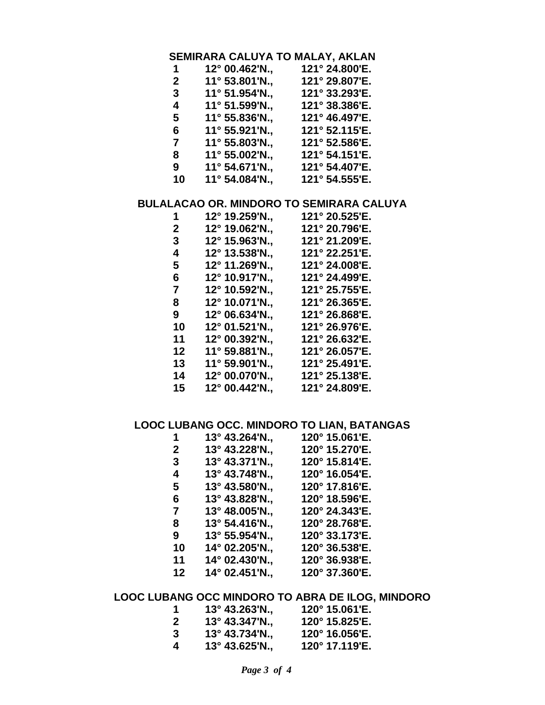## **SEMIRARA CALUYA TO MALAY, AKLAN**

| 12° 00.462'N., | 121° 24.800'E. |
|----------------|----------------|
| 11° 53.801'N., | 121° 29.807'E. |
| 11° 51.954'N., | 121° 33.293'E. |
| 11° 51.599'N., | 121° 38.386'E. |
| 11° 55.836'N., | 121° 46.497'E. |
| 11° 55.921'N., | 121° 52.115'E. |
| 11° 55.803'N., | 121° 52.586'E. |
| 11° 55.002'N., | 121° 54.151'E. |
| 11° 54.671'N., | 121° 54.407'E. |
| 11° 54.084'N., | 121° 54.555'E. |
|                |                |

### **BULALACAO OR. MINDORO TO SEMIRARA CALUYA**

| 12° 19.259'N.,          | 121° 20.525'E. |
|-------------------------|----------------|
| 12° 19.062'N.,          | 121° 20.796'E. |
| 12° 15.963'N.,          | 121° 21.209'E. |
| 12° 13.538'N.,          | 121° 22.251'E. |
| 12° 11.269'N.,          | 121° 24.008'E. |
| 12° 10.917'N.,          | 121° 24.499'E. |
| 12° 10.592'N            | 121° 25.755'E. |
| 12° 10.071'N.,          | 121° 26.365'E. |
| 12° 06.634'N.,          | 121° 26.868'E. |
| 12° 01.521'N.,          | 121° 26.976'E. |
| 12° 00.392'N.,          | 121° 26.632'E. |
| $11^{\circ}$ 59.881'N., | 121° 26.057'E. |
| 11° 59.901'N.,          | 121° 25.491'E. |
| 12° 00.070'N.,          | 121° 25.138'E. |
| 12° 00.442'N.,          | 121° 24.809'E. |
|                         |                |

## **LOOC LUBANG OCC. MINDORO TO LIAN, BATANGAS**

| 13° 43.264'N., | 120° 15.061'E. |
|----------------|----------------|
| 13° 43.228'N., | 120° 15.270'E. |
| 13° 43.371'N., | 120° 15.814'E. |
| 13° 43.748'N., | 120° 16.054'E. |
| 13° 43.580'N., | 120° 17.816'E. |
| 13° 43.828'N., | 120° 18.596'E. |
| 13° 48.005'N., | 120° 24.343'E. |
| 13° 54.416'N., | 120° 28.768'E. |
| 13° 55.954'N., | 120° 33.173'E. |
| 14° 02.205'N., | 120° 36.538'E. |
| 14° 02.430'N., | 120° 36.938'E. |
| 14° 02.451'N., | 120° 37.360'E. |
|                |                |

## **LOOC LUBANG OCC MINDORO TO ABRA DE ILOG, MINDORO**

| 1            | $13^{\circ}$ 43.263'N., | 120° 15.061'E. |
|--------------|-------------------------|----------------|
| $\mathbf{2}$ | $13^{\circ}$ 43.347'N., | 120° 15.825'E. |
| 3            | $13^{\circ}$ 43.734'N., | 120° 16.056'E. |
| 4            | $13^{\circ}$ 43.625'N., | 120° 17.119'E. |